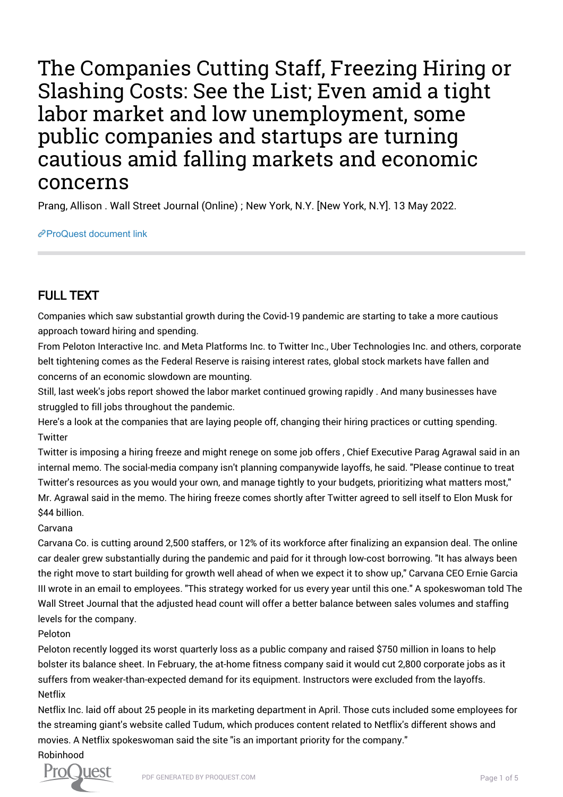The Companies Cutting Staff, Freezing Hiring or Slashing Costs: See the List; Even amid a tight labor market and low unemployment, some public companies and startups are turning cautious amid falling markets and economic concerns

Prang, Allison . Wall Street Journal (Online) ; New York, N.Y. [New York, N.Y]. 13 May 2022.

[ProQuest document link](https://www.proquest.com/newspapers/companies-cutting-staff-freezing-hiring-slashing/docview/2663359361/se-2?accountid=44910)

# FULL TEXT

Companies which saw substantial growth during the Covid-19 pandemic are starting to take a more cautious approach toward hiring and spending.

From Peloton Interactive Inc. and Meta Platforms Inc. to Twitter Inc., Uber Technologies Inc. and others, corporate belt tightening comes as the Federal Reserve is raising interest rates, global stock markets have fallen and concerns of an economic slowdown are mounting.

Still, last week's jobs report showed the labor market continued growing rapidly . And many businesses have struggled to fill jobs throughout the pandemic.

Here's a look at the companies that are laying people off, changing their hiring practices or cutting spending. **Twitter** 

Twitter is imposing a hiring freeze and might renege on some job offers , Chief Executive Parag Agrawal said in an internal memo. The social-media company isn't planning companywide layoffs, he said. "Please continue to treat Twitter's resources as you would your own, and manage tightly to your budgets, prioritizing what matters most," Mr. Agrawal said in the memo. The hiring freeze comes shortly after Twitter agreed to sell itself to Elon Musk for \$44 billion.

Carvana

Carvana Co. is cutting around 2,500 staffers, or 12% of its workforce after finalizing an expansion deal. The online car dealer grew substantially during the pandemic and paid for it through low-cost borrowing. "It has always been the right move to start building for growth well ahead of when we expect it to show up," Carvana CEO Ernie Garcia III wrote in an email to employees. "This strategy worked for us every year until this one." A spokeswoman told The Wall Street Journal that the adjusted head count will offer a better balance between sales volumes and staffing levels for the company.

Peloton

Peloton recently logged its worst quarterly loss as a public company and raised \$750 million in loans to help bolster its balance sheet. In February, the at-home fitness company said it would cut 2,800 corporate jobs as it suffers from weaker-than-expected demand for its equipment. Instructors were excluded from the layoffs. Netflix

Netflix Inc. laid off about 25 people in its marketing department in April. Those cuts included some employees for the streaming giant's website called Tudum, which produces content related to Netflix's different shows and movies. A Netflix spokeswoman said the site "is an important priority for the company."

Robinhood

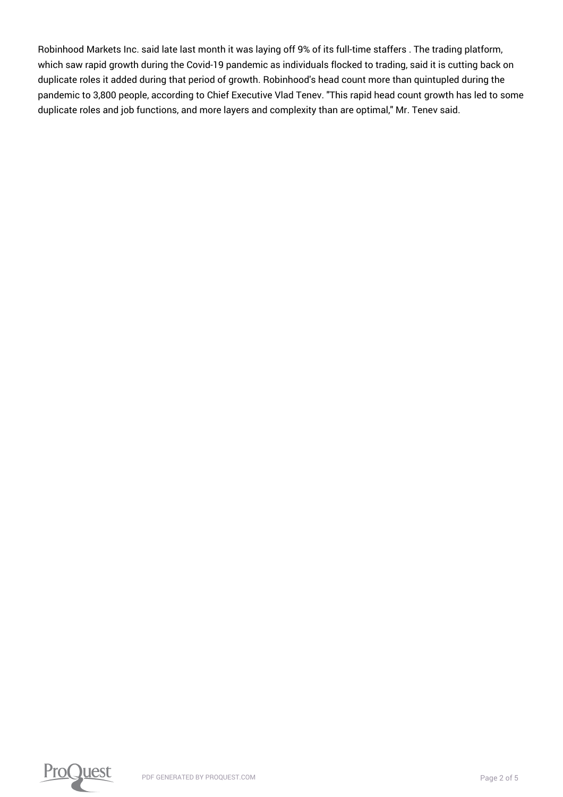Robinhood Markets Inc. said late last month it was laying off 9% of its full-time staffers . The trading platform, which saw rapid growth during the Covid-19 pandemic as individuals flocked to trading, said it is cutting back on duplicate roles it added during that period of growth. Robinhood's head count more than quintupled during the pandemic to 3,800 people, according to Chief Executive Vlad Tenev. "This rapid head count growth has led to some duplicate roles and job functions, and more layers and complexity than are optimal," Mr. Tenev said.

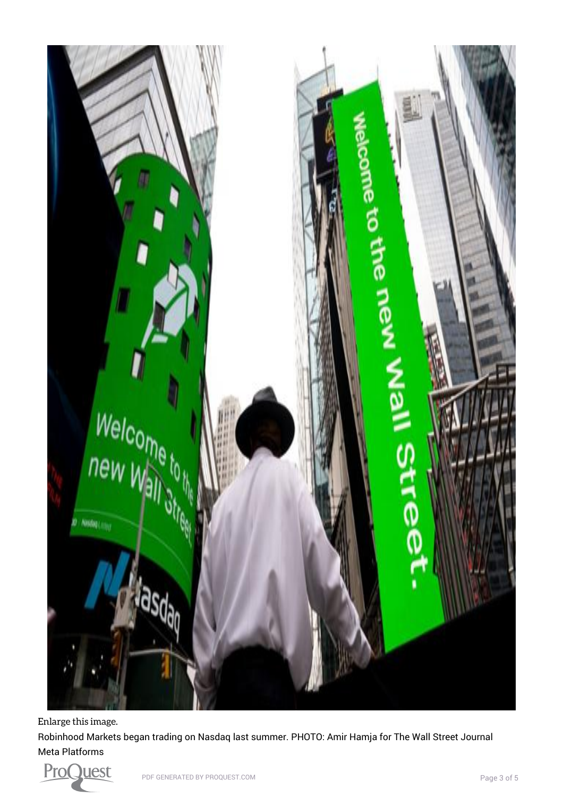

[Enlarge this image.](https://www.proquest.comhttps://www.proquest.com/textgraphic/2663359361/fulltextwithgraphics/D7A967494490437EPQ/1/1?accountid=44910) Robinhood Markets began trading on Nasdaq last summer. PHOTO: Amir Hamja for The Wall Street Journal Meta Platforms

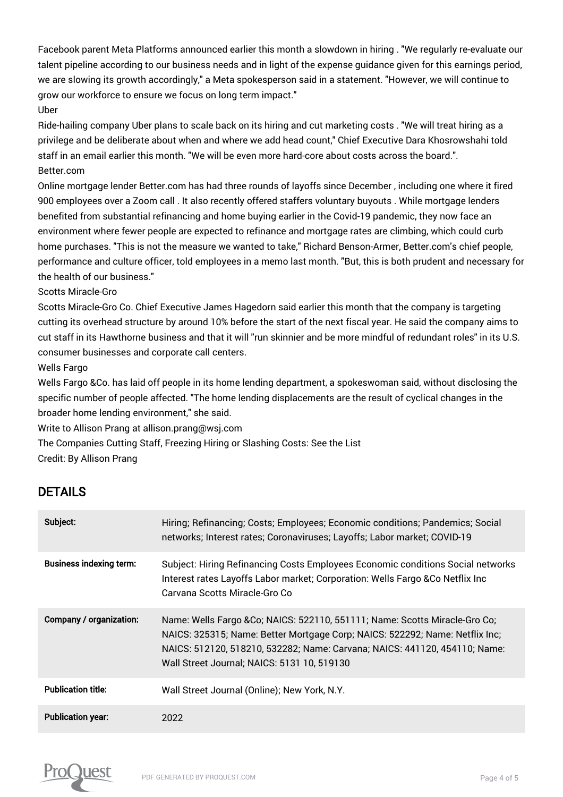Facebook parent Meta Platforms announced earlier this month a slowdown in hiring . "We regularly re-evaluate our talent pipeline according to our business needs and in light of the expense guidance given for this earnings period, we are slowing its growth accordingly," a Meta spokesperson said in a statement. "However, we will continue to grow our workforce to ensure we focus on long term impact."

### Uber

Ride-hailing company Uber plans to scale back on its hiring and cut marketing costs . "We will treat hiring as a privilege and be deliberate about when and where we add head count," Chief Executive Dara Khosrowshahi told staff in an email earlier this month. "We will be even more hard-core about costs across the board.". Better.com

Online mortgage lender Better.com has had three rounds of layoffs since December , including one where it fired 900 employees over a Zoom call . It also recently offered staffers voluntary buyouts . While mortgage lenders benefited from substantial refinancing and home buying earlier in the Covid-19 pandemic, they now face an environment where fewer people are expected to refinance and mortgage rates are climbing, which could curb home purchases. "This is not the measure we wanted to take," Richard Benson-Armer, Better.com's chief people, performance and culture officer, told employees in a memo last month. "But, this is both prudent and necessary for the health of our business."

## Scotts Miracle-Gro

Scotts Miracle-Gro Co. Chief Executive James Hagedorn said earlier this month that the company is targeting cutting its overhead structure by around 10% before the start of the next fiscal year. He said the company aims to cut staff in its Hawthorne business and that it will "run skinnier and be more mindful of redundant roles" in its U.S. consumer businesses and corporate call centers.

### Wells Fargo

Wells Fargo &Co. has laid off people in its home lending department, a spokeswoman said, without disclosing the specific number of people affected. "The home lending displacements are the result of cyclical changes in the broader home lending environment," she said.

Write to Allison Prang at allison.prang@wsj.com

The Companies Cutting Staff, Freezing Hiring or Slashing Costs: See the List Credit: By Allison Prang

# DETAILS

| Subject:                       | Hiring; Refinancing; Costs; Employees; Economic conditions; Pandemics; Social<br>networks; Interest rates; Coronaviruses; Layoffs; Labor market; COVID-19                                                                                                                                |
|--------------------------------|------------------------------------------------------------------------------------------------------------------------------------------------------------------------------------------------------------------------------------------------------------------------------------------|
| <b>Business indexing term:</b> | Subject: Hiring Refinancing Costs Employees Economic conditions Social networks<br>Interest rates Layoffs Labor market; Corporation: Wells Fargo & Co Netflix Inc<br>Carvana Scotts Miracle-Gro Co                                                                                       |
| Company / organization:        | Name: Wells Fargo & Co; NAICS: 522110, 551111; Name: Scotts Miracle-Gro Co;<br>NAICS: 325315; Name: Better Mortgage Corp; NAICS: 522292; Name: Netflix Inc;<br>NAICS: 512120, 518210, 532282; Name: Carvana; NAICS: 441120, 454110; Name:<br>Wall Street Journal; NAICS: 5131 10, 519130 |
| <b>Publication title:</b>      | Wall Street Journal (Online); New York, N.Y.                                                                                                                                                                                                                                             |
| <b>Publication year:</b>       | 2022                                                                                                                                                                                                                                                                                     |